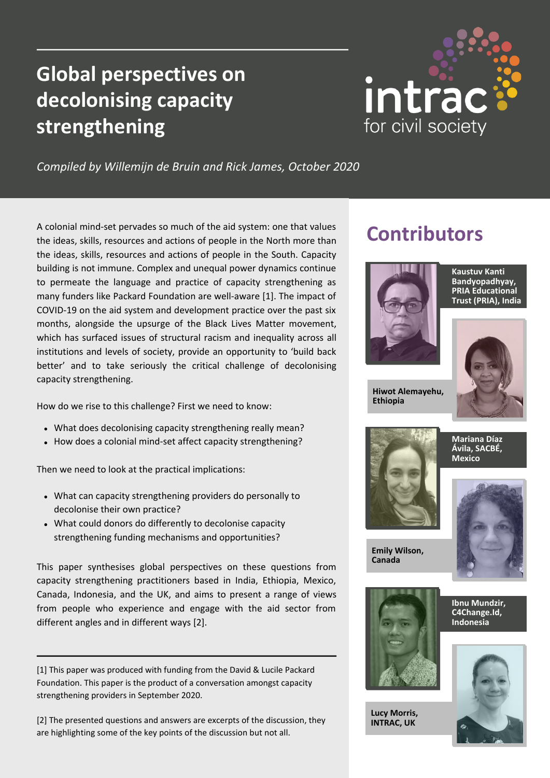# **Global perspectives on decolonising capacity strengthening**



*Compiled by Willemijn de Bruin and Rick James, October 2020*

A colonial mind-set pervades so much of the aid system: one that values the ideas, skills, resources and actions of people in the North more than the ideas, skills, resources and actions of people in the South. Capacity building is not immune. Complex and unequal power dynamics continue to permeate the language and practice of capacity strengthening as many funders like Packard Foundation are well-aware [1]. The impact of COVID-19 on the aid system and development practice over the past six months, alongside the upsurge of the Black Lives Matter movement, which has surfaced issues of structural racism and inequality across all institutions and levels of society, provide an opportunity to 'build back better' and to take seriously the critical challenge of decolonising capacity strengthening.

How do we rise to this challenge? First we need to know:

- What does decolonising capacity strengthening really mean?
- How does a colonial mind-set affect capacity strengthening?

Then we need to look at the practical implications:

- What can capacity strengthening providers do personally to decolonise their own practice?
- What could donors do differently to decolonise capacity strengthening funding mechanisms and opportunities?

This paper synthesises global perspectives on these questions from capacity strengthening practitioners based in India, Ethiopia, Mexico, Canada, Indonesia, and the UK, and aims to present a range of views from people who experience and engage with the aid sector from different angles and in different ways [2].

[1] This paper was produced with funding from the David & Lucile Packard Foundation. This paper is the product of a conversation amongst capacity strengthening providers in September 2020.

[2] The presented questions and answers are excerpts of the discussion, they are highlighting some of the key points of the discussion but not all.

## **Contributors**



**Kaustuv Kanti Bandyopadhyay, PRIA Educational Trust (PRIA), India**



**Hiwot Alemayehu, Ethiopia**



**Mariana Díaz Ávila, SACBÉ, Mexico**



**Emily Wilson, Canada**



**Lucy Morris, INTRAC, UK**

**Ibnu Mundzir, C4Change.Id, Indonesia**

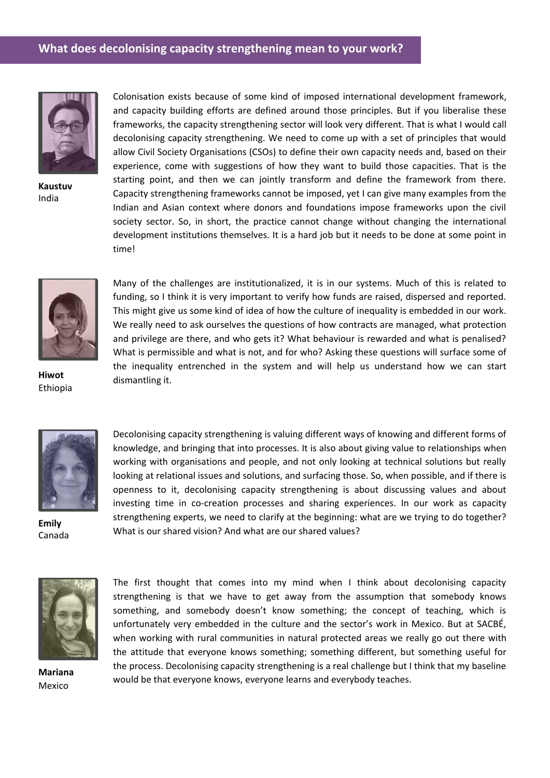#### **What does decolonising capacity strengthening mean to your work?**



**Kaustuv** India

Colonisation exists because of some kind of imposed international development framework, and capacity building efforts are defined around those principles. But if you liberalise these frameworks, the capacity strengthening sector will look very different. That is what I would call decolonising capacity strengthening. We need to come up with a set of principles that would allow Civil Society Organisations (CSOs) to define their own capacity needs and, based on their experience, come with suggestions of how they want to build those capacities. That is the starting point, and then we can jointly transform and define the framework from there. Capacity strengthening frameworks cannot be imposed, yet I can give many examples from the Indian and Asian context where donors and foundations impose frameworks upon the civil society sector. So, in short, the practice cannot change without changing the international development institutions themselves. It is a hard job but it needs to be done at some point in time!



**Hiwot** Ethiopia

Many of the challenges are institutionalized, it is in our systems. Much of this is related to funding, so I think it is very important to verify how funds are raised, dispersed and reported. This might give us some kind of idea of how the culture of inequality is embedded in our work. We really need to ask ourselves the questions of how contracts are managed, what protection and privilege are there, and who gets it? What behaviour is rewarded and what is penalised? What is permissible and what is not, and for who? Asking these questions will surface some of the inequality entrenched in the system and will help us understand how we can start dismantling it.



**Emily** Canada

Decolonising capacity strengthening is valuing different ways of knowing and different forms of knowledge, and bringing that into processes. It is also about giving value to relationships when working with organisations and people, and not only looking at technical solutions but really looking at relational issues and solutions, and surfacing those. So, when possible, and if there is openness to it, decolonising capacity strengthening is about discussing values and about investing time in co-creation processes and sharing experiences. In our work as capacity strengthening experts, we need to clarify at the beginning: what are we trying to do together? What is our shared vision? And what are our shared values?



**Mariana** Mexico

The first thought that comes into my mind when I think about decolonising capacity strengthening is that we have to get away from the assumption that somebody knows something, and somebody doesn't know something; the concept of teaching, which is unfortunately very embedded in the culture and the sector's work in Mexico. But at SACBÉ, when working with rural communities in natural protected areas we really go out there with the attitude that everyone knows something; something different, but something useful for the process. Decolonising capacity strengthening is a real challenge but I think that my baseline would be that everyone knows, everyone learns and everybody teaches.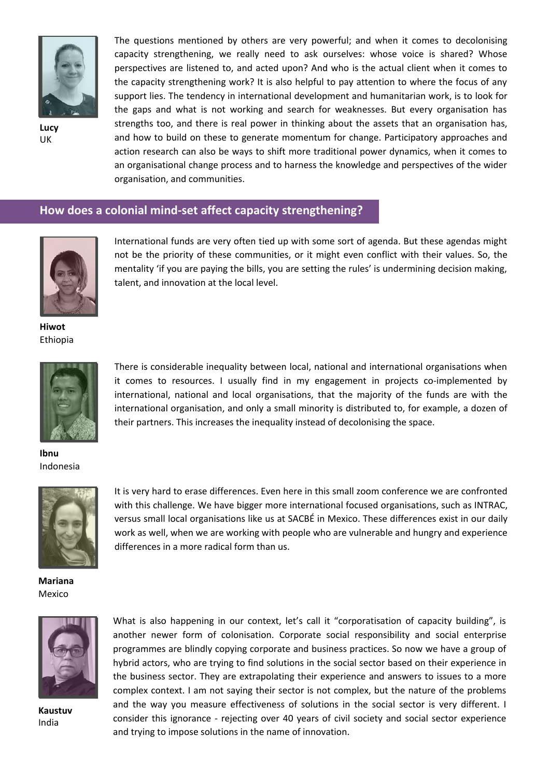

**Lucy** UK

The questions mentioned by others are very powerful; and when it comes to decolonising capacity strengthening, we really need to ask ourselves: whose voice is shared? Whose perspectives are listened to, and acted upon? And who is the actual client when it comes to the capacity strengthening work? It is also helpful to pay attention to where the focus of any support lies. The tendency in international development and humanitarian work, is to look for the gaps and what is not working and search for weaknesses. But every organisation has strengths too, and there is real power in thinking about the assets that an organisation has, and how to build on these to generate momentum for change. Participatory approaches and action research can also be ways to shift more traditional power dynamics, when it comes to an organisational change process and to harness the knowledge and perspectives of the wider organisation, and communities.

#### **How does a colonial mind-set affect capacity strengthening?**



International funds are very often tied up with some sort of agenda. But these agendas might not be the priority of these communities, or it might even conflict with their values. So, the mentality 'if you are paying the bills, you are setting the rules' is undermining decision making, talent, and innovation at the local level.

**Hiwot** Ethiopia



There is considerable inequality between local, national and international organisations when it comes to resources. I usually find in my engagement in projects co-implemented by international, national and local organisations, that the majority of the funds are with the international organisation, and only a small minority is distributed to, for example, a dozen of their partners. This increases the inequality instead of decolonising the space.

**Ibnu** Indonesia



It is very hard to erase differences. Even here in this small zoom conference we are confronted with this challenge. We have bigger more international focused organisations, such as INTRAC, versus small local organisations like us at SACBÉ in Mexico. These differences exist in our daily work as well, when we are working with people who are vulnerable and hungry and experience differences in a more radical form than us.

**Mariana** Mexico



**Kaustuv** India

What is also happening in our context, let's call it "corporatisation of capacity building", is another newer form of colonisation. Corporate social responsibility and social enterprise programmes are blindly copying corporate and business practices. So now we have a group of hybrid actors, who are trying to find solutions in the social sector based on their experience in the business sector. They are extrapolating their experience and answers to issues to a more complex context. I am not saying their sector is not complex, but the nature of the problems and the way you measure effectiveness of solutions in the social sector is very different. I consider this ignorance - rejecting over 40 years of civil society and social sector experience and trying to impose solutions in the name of innovation.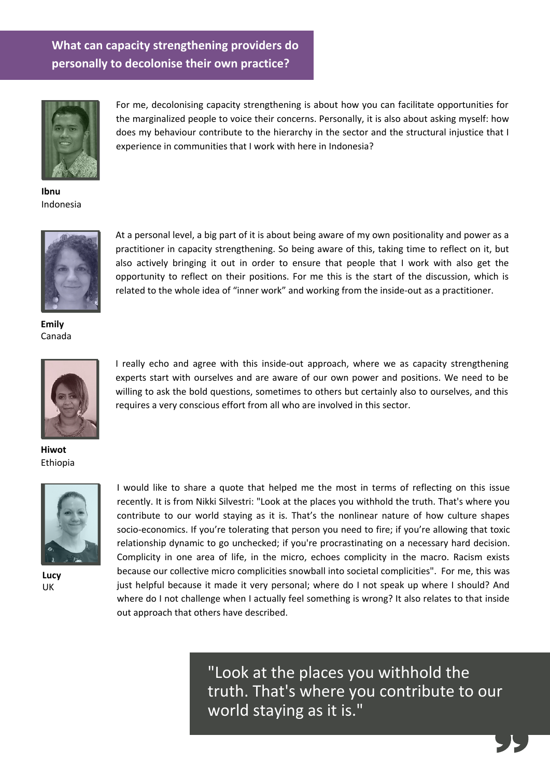### **What can capacity strengthening providers do personally to decolonise their own practice?**



For me, decolonising capacity strengthening is about how you can facilitate opportunities for the marginalized people to voice their concerns. Personally, it is also about asking myself: how does my behaviour contribute to the hierarchy in the sector and the structural injustice that I experience in communities that I work with here in Indonesia?

**Ibnu** Indonesia



At a personal level, a big part of it is about being aware of my own positionality and power as a practitioner in capacity strengthening. So being aware of this, taking time to reflect on it, but also actively bringing it out in order to ensure that people that I work with also get the opportunity to reflect on their positions. For me this is the start of the discussion, which is related to the whole idea of "inner work" and working from the inside-out as a practitioner.

**Emily** Canada



I really echo and agree with this inside-out approach, where we as capacity strengthening experts start with ourselves and are aware of our own power and positions. We need to be willing to ask the bold questions, sometimes to others but certainly also to ourselves, and this requires a very conscious effort from all who are involved in this sector.

**Hiwot** Ethiopia



**Lucy** UK

I would like to share a quote that helped me the most in terms of reflecting on this issue recently. It is from Nikki Silvestri: "Look at the places you withhold the truth. That's where you contribute to our world staying as it is. That's the nonlinear nature of how culture shapes socio-economics. If you're tolerating that person you need to fire; if you're allowing that toxic relationship dynamic to go unchecked; if you're procrastinating on a necessary hard decision. Complicity in one area of life, in the micro, echoes complicity in the macro. Racism exists because our collective micro complicities snowball into societal complicities". For me, this was just helpful because it made it very personal; where do I not speak up where I should? And where do I not challenge when I actually feel something is wrong? It also relates to that inside out approach that others have described.

> "Look at the places you withhold the truth. That's where you contribute to our world staying as it is."